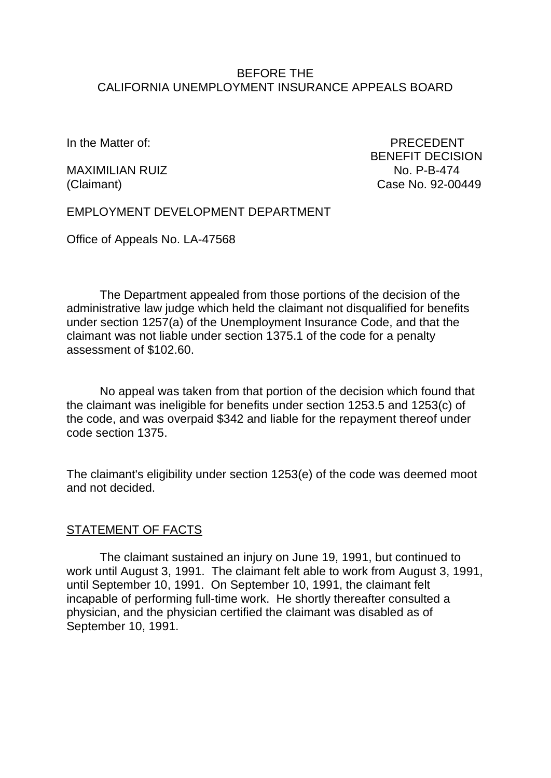### BEFORE THE CALIFORNIA UNEMPLOYMENT INSURANCE APPEALS BOARD

In the Matter of: PRECEDENT

MAXIMILIAN RUIZ NO. P-B-474

BENEFIT DECISION (Claimant) Case No. 92-00449

EMPLOYMENT DEVELOPMENT DEPARTMENT

Office of Appeals No. LA-47568

The Department appealed from those portions of the decision of the administrative law judge which held the claimant not disqualified for benefits under section 1257(a) of the Unemployment Insurance Code, and that the claimant was not liable under section 1375.1 of the code for a penalty assessment of \$102.60.

No appeal was taken from that portion of the decision which found that the claimant was ineligible for benefits under section 1253.5 and 1253(c) of the code, and was overpaid \$342 and liable for the repayment thereof under code section 1375.

The claimant's eligibility under section 1253(e) of the code was deemed moot and not decided.

## STATEMENT OF FACTS

The claimant sustained an injury on June 19, 1991, but continued to work until August 3, 1991. The claimant felt able to work from August 3, 1991, until September 10, 1991. On September 10, 1991, the claimant felt incapable of performing full-time work. He shortly thereafter consulted a physician, and the physician certified the claimant was disabled as of September 10, 1991.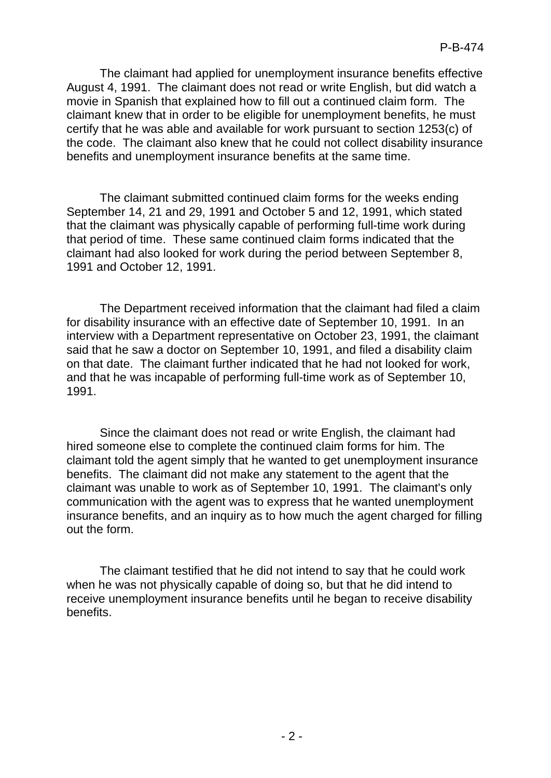The claimant had applied for unemployment insurance benefits effective August 4, 1991. The claimant does not read or write English, but did watch a movie in Spanish that explained how to fill out a continued claim form. The claimant knew that in order to be eligible for unemployment benefits, he must certify that he was able and available for work pursuant to section 1253(c) of the code. The claimant also knew that he could not collect disability insurance benefits and unemployment insurance benefits at the same time.

The claimant submitted continued claim forms for the weeks ending September 14, 21 and 29, 1991 and October 5 and 12, 1991, which stated that the claimant was physically capable of performing full-time work during that period of time. These same continued claim forms indicated that the claimant had also looked for work during the period between September 8, 1991 and October 12, 1991.

The Department received information that the claimant had filed a claim for disability insurance with an effective date of September 10, 1991. In an interview with a Department representative on October 23, 1991, the claimant said that he saw a doctor on September 10, 1991, and filed a disability claim on that date. The claimant further indicated that he had not looked for work, and that he was incapable of performing full-time work as of September 10, 1991.

Since the claimant does not read or write English, the claimant had hired someone else to complete the continued claim forms for him. The claimant told the agent simply that he wanted to get unemployment insurance benefits. The claimant did not make any statement to the agent that the claimant was unable to work as of September 10, 1991. The claimant's only communication with the agent was to express that he wanted unemployment insurance benefits, and an inquiry as to how much the agent charged for filling out the form.

The claimant testified that he did not intend to say that he could work when he was not physically capable of doing so, but that he did intend to receive unemployment insurance benefits until he began to receive disability benefits.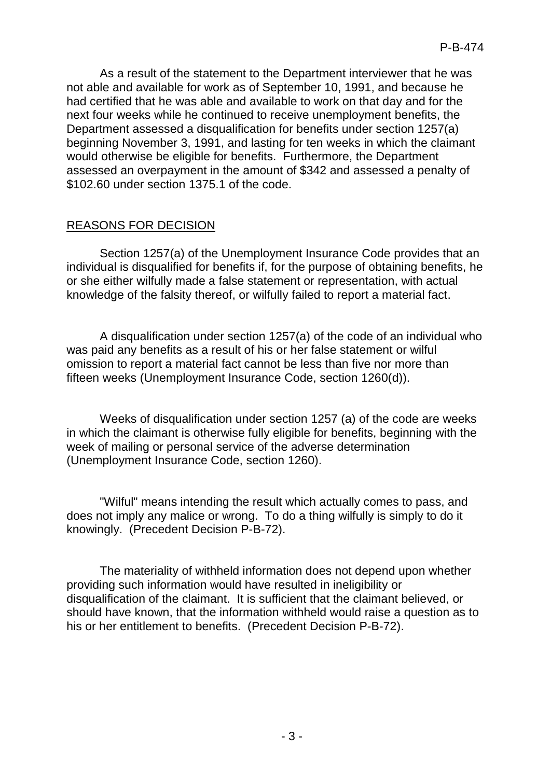As a result of the statement to the Department interviewer that he was not able and available for work as of September 10, 1991, and because he had certified that he was able and available to work on that day and for the next four weeks while he continued to receive unemployment benefits, the Department assessed a disqualification for benefits under section 1257(a) beginning November 3, 1991, and lasting for ten weeks in which the claimant would otherwise be eligible for benefits. Furthermore, the Department assessed an overpayment in the amount of \$342 and assessed a penalty of \$102.60 under section 1375.1 of the code.

# REASONS FOR DECISION

Section 1257(a) of the Unemployment Insurance Code provides that an individual is disqualified for benefits if, for the purpose of obtaining benefits, he or she either wilfully made a false statement or representation, with actual knowledge of the falsity thereof, or wilfully failed to report a material fact.

A disqualification under section 1257(a) of the code of an individual who was paid any benefits as a result of his or her false statement or wilful omission to report a material fact cannot be less than five nor more than fifteen weeks (Unemployment Insurance Code, section 1260(d)).

Weeks of disqualification under section 1257 (a) of the code are weeks in which the claimant is otherwise fully eligible for benefits, beginning with the week of mailing or personal service of the adverse determination (Unemployment Insurance Code, section 1260).

"Wilful" means intending the result which actually comes to pass, and does not imply any malice or wrong. To do a thing wilfully is simply to do it knowingly. (Precedent Decision P-B-72).

The materiality of withheld information does not depend upon whether providing such information would have resulted in ineligibility or disqualification of the claimant. It is sufficient that the claimant believed, or should have known, that the information withheld would raise a question as to his or her entitlement to benefits. (Precedent Decision P-B-72).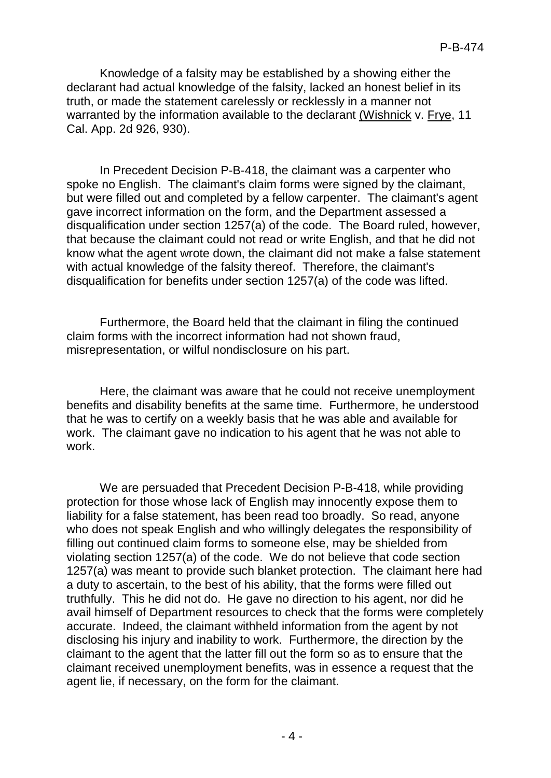Knowledge of a falsity may be established by a showing either the declarant had actual knowledge of the falsity, lacked an honest belief in its truth, or made the statement carelessly or recklessly in a manner not warranted by the information available to the declarant (Wishnick v. Frye, 11 Cal. App. 2d 926, 930).

In Precedent Decision P-B-418, the claimant was a carpenter who spoke no English. The claimant's claim forms were signed by the claimant, but were filled out and completed by a fellow carpenter. The claimant's agent gave incorrect information on the form, and the Department assessed a disqualification under section 1257(a) of the code. The Board ruled, however, that because the claimant could not read or write English, and that he did not know what the agent wrote down, the claimant did not make a false statement with actual knowledge of the falsity thereof. Therefore, the claimant's disqualification for benefits under section 1257(a) of the code was lifted.

Furthermore, the Board held that the claimant in filing the continued claim forms with the incorrect information had not shown fraud, misrepresentation, or wilful nondisclosure on his part.

Here, the claimant was aware that he could not receive unemployment benefits and disability benefits at the same time. Furthermore, he understood that he was to certify on a weekly basis that he was able and available for work. The claimant gave no indication to his agent that he was not able to work.

We are persuaded that Precedent Decision P-B-418, while providing protection for those whose lack of English may innocently expose them to liability for a false statement, has been read too broadly. So read, anyone who does not speak English and who willingly delegates the responsibility of filling out continued claim forms to someone else, may be shielded from violating section 1257(a) of the code. We do not believe that code section 1257(a) was meant to provide such blanket protection. The claimant here had a duty to ascertain, to the best of his ability, that the forms were filled out truthfully. This he did not do. He gave no direction to his agent, nor did he avail himself of Department resources to check that the forms were completely accurate. Indeed, the claimant withheld information from the agent by not disclosing his injury and inability to work. Furthermore, the direction by the claimant to the agent that the latter fill out the form so as to ensure that the claimant received unemployment benefits, was in essence a request that the agent lie, if necessary, on the form for the claimant.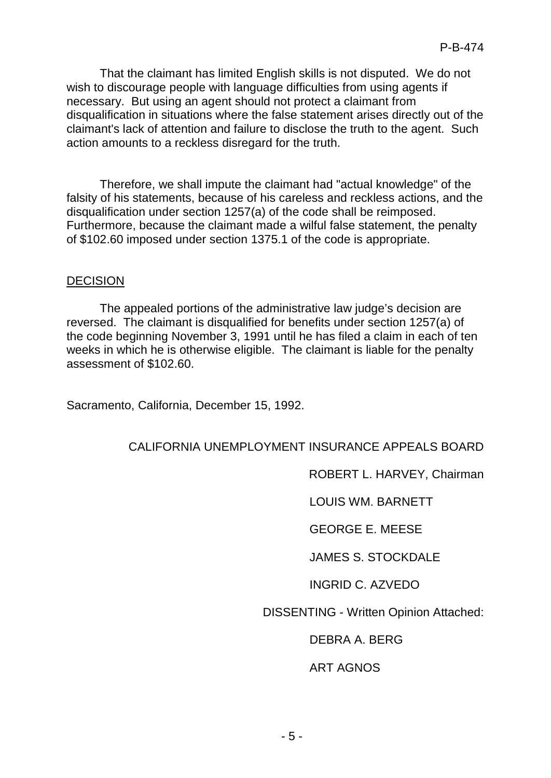That the claimant has limited English skills is not disputed. We do not wish to discourage people with language difficulties from using agents if necessary. But using an agent should not protect a claimant from disqualification in situations where the false statement arises directly out of the claimant's lack of attention and failure to disclose the truth to the agent. Such action amounts to a reckless disregard for the truth.

Therefore, we shall impute the claimant had "actual knowledge" of the falsity of his statements, because of his careless and reckless actions, and the disqualification under section 1257(a) of the code shall be reimposed. Furthermore, because the claimant made a wilful false statement, the penalty of \$102.60 imposed under section 1375.1 of the code is appropriate.

## DECISION

The appealed portions of the administrative law judge's decision are reversed. The claimant is disqualified for benefits under section 1257(a) of the code beginning November 3, 1991 until he has filed a claim in each of ten weeks in which he is otherwise eligible. The claimant is liable for the penalty assessment of \$102.60.

Sacramento, California, December 15, 1992.

## CALIFORNIA UNEMPLOYMENT INSURANCE APPEALS BOARD

ROBERT L. HARVEY, Chairman

LOUIS WM. BARNETT

GEORGE E. MEESE

JAMES S. STOCKDALE

INGRID C. AZVEDO

DISSENTING - Written Opinion Attached:

DEBRA A. BERG

ART AGNOS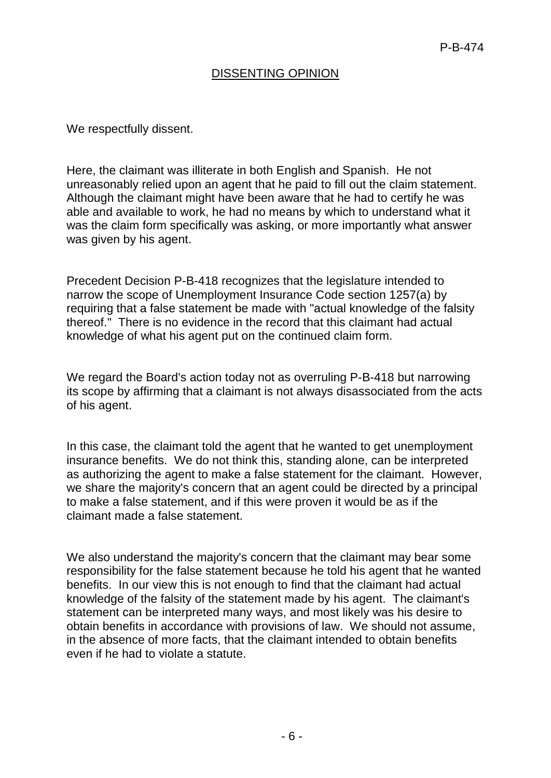# DISSENTING OPINION

We respectfully dissent.

Here, the claimant was illiterate in both English and Spanish. He not unreasonably relied upon an agent that he paid to fill out the claim statement. Although the claimant might have been aware that he had to certify he was able and available to work, he had no means by which to understand what it was the claim form specifically was asking, or more importantly what answer was given by his agent.

Precedent Decision P-B-418 recognizes that the legislature intended to narrow the scope of Unemployment Insurance Code section 1257(a) by requiring that a false statement be made with "actual knowledge of the falsity thereof." There is no evidence in the record that this claimant had actual knowledge of what his agent put on the continued claim form.

We regard the Board's action today not as overruling P-B-418 but narrowing its scope by affirming that a claimant is not always disassociated from the acts of his agent.

In this case, the claimant told the agent that he wanted to get unemployment insurance benefits. We do not think this, standing alone, can be interpreted as authorizing the agent to make a false statement for the claimant. However, we share the majority's concern that an agent could be directed by a principal to make a false statement, and if this were proven it would be as if the claimant made a false statement.

We also understand the majority's concern that the claimant may bear some responsibility for the false statement because he told his agent that he wanted benefits. In our view this is not enough to find that the claimant had actual knowledge of the falsity of the statement made by his agent. The claimant's statement can be interpreted many ways, and most likely was his desire to obtain benefits in accordance with provisions of law. We should not assume, in the absence of more facts, that the claimant intended to obtain benefits even if he had to violate a statute.